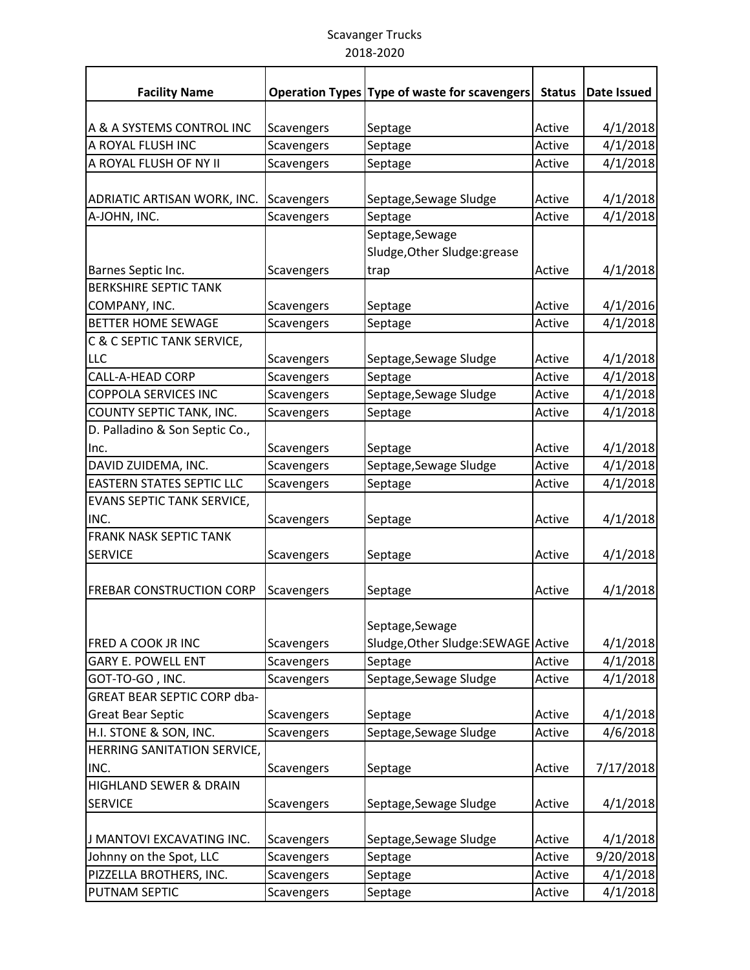## Scavanger Trucks 2018-2020

| <b>Facility Name</b>               |            | Operation Types Type of waste for scavengers           | <b>Status</b> | Date Issued |
|------------------------------------|------------|--------------------------------------------------------|---------------|-------------|
|                                    |            |                                                        |               |             |
| A & A SYSTEMS CONTROL INC          | Scavengers | Septage                                                | Active        | 4/1/2018    |
| A ROYAL FLUSH INC                  | Scavengers | Septage                                                | Active        | 4/1/2018    |
| A ROYAL FLUSH OF NY II             | Scavengers | Septage                                                | Active        | 4/1/2018    |
| ADRIATIC ARTISAN WORK, INC.        | Scavengers | Septage, Sewage Sludge                                 | Active        | 4/1/2018    |
| A-JOHN, INC.                       | Scavengers | Septage                                                | Active        | 4/1/2018    |
|                                    |            | Septage, Sewage<br>Sludge, Other Sludge: grease        |               |             |
| Barnes Septic Inc.                 | Scavengers | trap                                                   | Active        | 4/1/2018    |
| <b>BERKSHIRE SEPTIC TANK</b>       |            |                                                        |               |             |
| COMPANY, INC.                      | Scavengers | Septage                                                | Active        | 4/1/2016    |
| <b>BETTER HOME SEWAGE</b>          | Scavengers | Septage                                                | Active        | 4/1/2018    |
| C & C SEPTIC TANK SERVICE,         |            |                                                        |               |             |
| <b>LLC</b>                         | Scavengers | Septage, Sewage Sludge                                 | Active        | 4/1/2018    |
| <b>CALL-A-HEAD CORP</b>            | Scavengers | Septage                                                | Active        | 4/1/2018    |
| <b>COPPOLA SERVICES INC</b>        | Scavengers | Septage, Sewage Sludge                                 | Active        | 4/1/2018    |
| COUNTY SEPTIC TANK, INC.           | Scavengers | Septage                                                | Active        | 4/1/2018    |
| D. Palladino & Son Septic Co.,     |            |                                                        |               |             |
| Inc.                               | Scavengers | Septage                                                | Active        | 4/1/2018    |
| DAVID ZUIDEMA, INC.                | Scavengers | Septage, Sewage Sludge                                 | Active        | 4/1/2018    |
| <b>EASTERN STATES SEPTIC LLC</b>   | Scavengers | Septage                                                | Active        | 4/1/2018    |
| <b>EVANS SEPTIC TANK SERVICE,</b>  |            |                                                        |               |             |
| INC.                               | Scavengers | Septage                                                | Active        | 4/1/2018    |
| <b>FRANK NASK SEPTIC TANK</b>      |            |                                                        |               |             |
| <b>SERVICE</b>                     | Scavengers | Septage                                                | Active        | 4/1/2018    |
| <b>FREBAR CONSTRUCTION CORP</b>    | Scavengers | Septage                                                | Active        | 4/1/2018    |
| FRED A COOK JR INC                 | Scavengers | Septage, Sewage<br>Sludge, Other Sludge: SEWAGE Active |               | 4/1/2018    |
| <b>GARY E. POWELL ENT</b>          | Scavengers | Septage                                                | Active        | 4/1/2018    |
| GOT-TO-GO, INC.                    | Scavengers | Septage, Sewage Sludge                                 | Active        | 4/1/2018    |
| <b>GREAT BEAR SEPTIC CORP dba-</b> |            |                                                        |               |             |
| <b>Great Bear Septic</b>           | Scavengers | Septage                                                | Active        | 4/1/2018    |
| H.I. STONE & SON, INC.             | Scavengers | Septage, Sewage Sludge                                 | Active        | 4/6/2018    |
| HERRING SANITATION SERVICE,        |            |                                                        |               |             |
| INC.                               | Scavengers | Septage                                                | Active        | 7/17/2018   |
| <b>HIGHLAND SEWER &amp; DRAIN</b>  |            |                                                        |               |             |
| <b>SERVICE</b>                     | Scavengers | Septage, Sewage Sludge                                 | Active        | 4/1/2018    |
| J MANTOVI EXCAVATING INC.          | Scavengers | Septage, Sewage Sludge                                 | Active        | 4/1/2018    |
| Johnny on the Spot, LLC            | Scavengers | Septage                                                | Active        | 9/20/2018   |
| PIZZELLA BROTHERS, INC.            | Scavengers | Septage                                                | Active        | 4/1/2018    |
| PUTNAM SEPTIC                      | Scavengers | Septage                                                | Active        | 4/1/2018    |